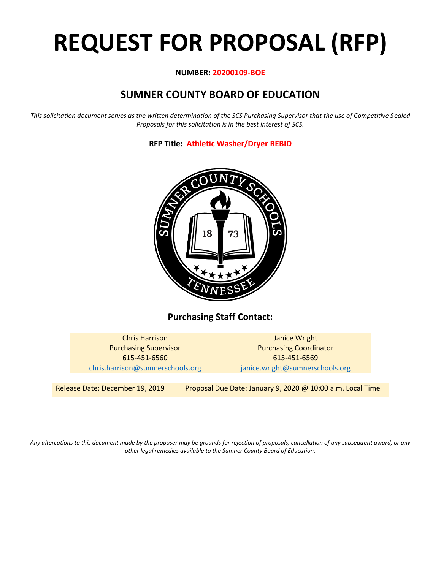# **REQUEST FOR PROPOSAL (RFP)**

#### **NUMBER: 20200109-BOE**

# **SUMNER COUNTY BOARD OF EDUCATION**

*This solicitation document serves as the written determination of the SCS Purchasing Supervisor that the use of Competitive Sealed Proposals for this solicitation is in the best interest of SCS.*

**RFP Title: Athletic Washer/Dryer REBID**



## **Purchasing Staff Contact:**

| Janice Wright                   |
|---------------------------------|
| <b>Purchasing Coordinator</b>   |
| 615-451-6569                    |
| janice.wright@sumnerschools.org |
|                                 |

| Release Date: December 19, 2019 | Proposal Due Date: January 9, 2020 @ 10:00 a.m. Local Time |
|---------------------------------|------------------------------------------------------------|
|---------------------------------|------------------------------------------------------------|

*Any altercations to this document made by the proposer may be grounds for rejection of proposals, cancellation of any subsequent award, or any other legal remedies available to the Sumner County Board of Education.*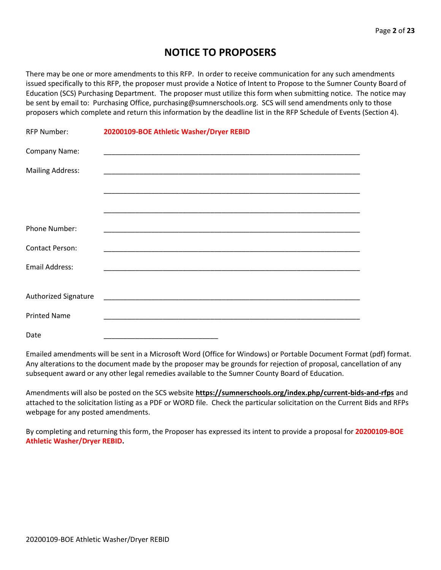## **NOTICE TO PROPOSERS**

There may be one or more amendments to this RFP. In order to receive communication for any such amendments issued specifically to this RFP, the proposer must provide a Notice of Intent to Propose to the Sumner County Board of Education (SCS) Purchasing Department. The proposer must utilize this form when submitting notice. The notice may be sent by email to: Purchasing Office, purchasing@sumnerschools.org. SCS will send amendments only to those proposers which complete and return this information by the deadline list in the RFP Schedule of Events (Section 4).

| <b>RFP Number:</b>      | 20200109-BOE Athletic Washer/Dryer REBID                                                                              |
|-------------------------|-----------------------------------------------------------------------------------------------------------------------|
| Company Name:           |                                                                                                                       |
| <b>Mailing Address:</b> | <u> 1989 - Johann John Stoff, deutscher Stoffen und der Stoffen und der Stoffen und der Stoffen und der Stoffen u</u> |
|                         |                                                                                                                       |
|                         |                                                                                                                       |
| Phone Number:           |                                                                                                                       |
| <b>Contact Person:</b>  |                                                                                                                       |
| <b>Email Address:</b>   |                                                                                                                       |
|                         |                                                                                                                       |
| Authorized Signature    |                                                                                                                       |
| <b>Printed Name</b>     | <u> 1980 - Johann John Stone, market fan it ferstjer fan de fan it ferstjer fan it ferstjer fan it ferstjer fan i</u> |
| Date                    |                                                                                                                       |

Emailed amendments will be sent in a Microsoft Word (Office for Windows) or Portable Document Format (pdf) format. Any alterations to the document made by the proposer may be grounds for rejection of proposal, cancellation of any subsequent award or any other legal remedies available to the Sumner County Board of Education.

Amendments will also be posted on the SCS website **https://sumnerschools.org/index.php/current-bids-and-rfps** and attached to the solicitation listing as a PDF or WORD file. Check the particular solicitation on the Current Bids and RFPs webpage for any posted amendments.

By completing and returning this form, the Proposer has expressed its intent to provide a proposal for **20200109-BOE Athletic Washer/Dryer REBID.**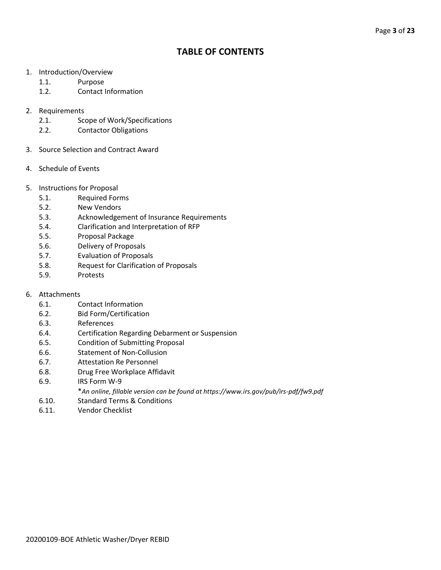## **TABLE OF CONTENTS**

- 1. Introduction/Overview
	- 1.1. Purpose
	- 1.2. Contact Information
- 2. Requirements
	- 2.1. Scope of Work/Specifications
	- 2.2. Contactor Obligations
- 3. Source Selection and Contract Award
- 4. Schedule of Events
- 5. Instructions for Proposal
	- 5.1. Required Forms
	- 5.2. New Vendors
	- 5.3. Acknowledgement of Insurance Requirements
	- 5.4. Clarification and Interpretation of RFP
	- 5.5. Proposal Package
	- 5.6. Delivery of Proposals
	- 5.7. Evaluation of Proposals
	- 5.8. Request for Clarification of Proposals
	- 5.9. Protests
- 6. Attachments
	- 6.1. Contact Information
	- 6.2. Bid Form/Certification
	- 6.3. References
	- 6.4. Certification Regarding Debarment or Suspension
	- 6.5. Condition of Submitting Proposal
	- 6.6. Statement of Non-Collusion
	- 6.7. Attestation Re Personnel
	- 6.8. Drug Free Workplace Affidavit
	- 6.9. IRS Form W-9
		- \**An online, fillable version can be found at https://www.irs.gov/pub/irs-pdf/fw9.pdf*
	- 6.10. Standard Terms & Conditions
	- 6.11. Vendor Checklist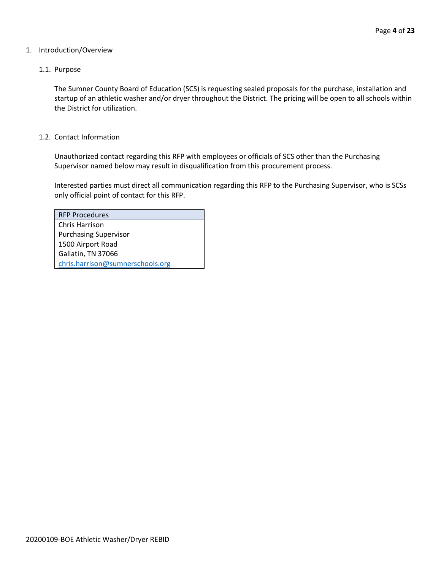#### 1. Introduction/Overview

#### 1.1. Purpose

The Sumner County Board of Education (SCS) is requesting sealed proposals for the purchase, installation and startup of an athletic washer and/or dryer throughout the District. The pricing will be open to all schools within the District for utilization.

#### 1.2. Contact Information

Unauthorized contact regarding this RFP with employees or officials of SCS other than the Purchasing Supervisor named below may result in disqualification from this procurement process.

Interested parties must direct all communication regarding this RFP to the Purchasing Supervisor, who is SCSs only official point of contact for this RFP.

| <b>RFP Procedures</b>            |
|----------------------------------|
| Chris Harrison                   |
| <b>Purchasing Supervisor</b>     |
| 1500 Airport Road                |
| Gallatin, TN 37066               |
| chris.harrison@sumnerschools.org |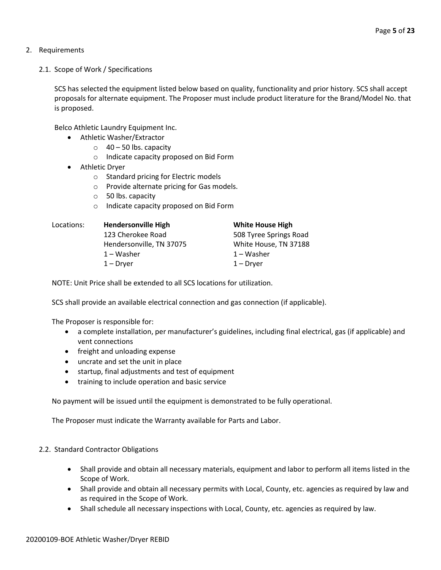- 2. Requirements
	- 2.1. Scope of Work / Specifications

SCS has selected the equipment listed below based on quality, functionality and prior history. SCS shall accept proposals for alternate equipment. The Proposer must include product literature for the Brand/Model No. that is proposed.

Belco Athletic Laundry Equipment Inc.

- Athletic Washer/Extractor
	- $\circ$  40 50 lbs. capacity
	- o Indicate capacity proposed on Bid Form
- Athletic Dryer
	- o Standard pricing for Electric models
	- o Provide alternate pricing for Gas models.
	- o 50 lbs. capacity
	- o Indicate capacity proposed on Bid Form

| <b>Hendersonville High</b> | <b>White House High</b> |
|----------------------------|-------------------------|
| 123 Cherokee Road          | 508 Tyree Springs Road  |
| Hendersonville, TN 37075   | White House, TN 37188   |
| $1 - W$ asher              | 1 – Washer              |
| $1 - Dryer$                | $1 - Dryer$             |
|                            |                         |

NOTE: Unit Price shall be extended to all SCS locations for utilization.

SCS shall provide an available electrical connection and gas connection (if applicable).

The Proposer is responsible for:

- a complete installation, per manufacturer's guidelines, including final electrical, gas (if applicable) and vent connections
- freight and unloading expense
- uncrate and set the unit in place
- startup, final adjustments and test of equipment
- training to include operation and basic service

No payment will be issued until the equipment is demonstrated to be fully operational.

The Proposer must indicate the Warranty available for Parts and Labor.

#### 2.2. Standard Contractor Obligations

- Shall provide and obtain all necessary materials, equipment and labor to perform all items listed in the Scope of Work.
- Shall provide and obtain all necessary permits with Local, County, etc. agencies as required by law and as required in the Scope of Work.
- Shall schedule all necessary inspections with Local, County, etc. agencies as required by law.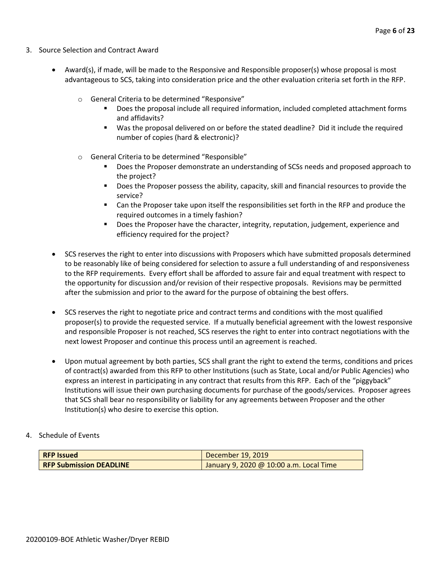- 3. Source Selection and Contract Award
	- Award(s), if made, will be made to the Responsive and Responsible proposer(s) whose proposal is most advantageous to SCS, taking into consideration price and the other evaluation criteria set forth in the RFP.
		- o General Criteria to be determined "Responsive"
			- Does the proposal include all required information, included completed attachment forms and affidavits?
			- Was the proposal delivered on or before the stated deadline? Did it include the required number of copies (hard & electronic)?
		- o General Criteria to be determined "Responsible"
			- Does the Proposer demonstrate an understanding of SCSs needs and proposed approach to the project?
			- Does the Proposer possess the ability, capacity, skill and financial resources to provide the service?
			- Can the Proposer take upon itself the responsibilities set forth in the RFP and produce the required outcomes in a timely fashion?
			- **■** Does the Proposer have the character, integrity, reputation, judgement, experience and efficiency required for the project?
	- SCS reserves the right to enter into discussions with Proposers which have submitted proposals determined to be reasonably like of being considered for selection to assure a full understanding of and responsiveness to the RFP requirements. Every effort shall be afforded to assure fair and equal treatment with respect to the opportunity for discussion and/or revision of their respective proposals. Revisions may be permitted after the submission and prior to the award for the purpose of obtaining the best offers.
	- SCS reserves the right to negotiate price and contract terms and conditions with the most qualified proposer(s) to provide the requested service. If a mutually beneficial agreement with the lowest responsive and responsible Proposer is not reached, SCS reserves the right to enter into contract negotiations with the next lowest Proposer and continue this process until an agreement is reached.
	- Upon mutual agreement by both parties, SCS shall grant the right to extend the terms, conditions and prices of contract(s) awarded from this RFP to other Institutions (such as State, Local and/or Public Agencies) who express an interest in participating in any contract that results from this RFP. Each of the "piggyback" Institutions will issue their own purchasing documents for purchase of the goods/services. Proposer agrees that SCS shall bear no responsibility or liability for any agreements between Proposer and the other Institution(s) who desire to exercise this option.
- 4. Schedule of Events

| <b>RFP Issued</b>              | December 19, 2019                       |  |  |
|--------------------------------|-----------------------------------------|--|--|
| <b>RFP Submission DEADLINE</b> | January 9, 2020 @ 10:00 a.m. Local Time |  |  |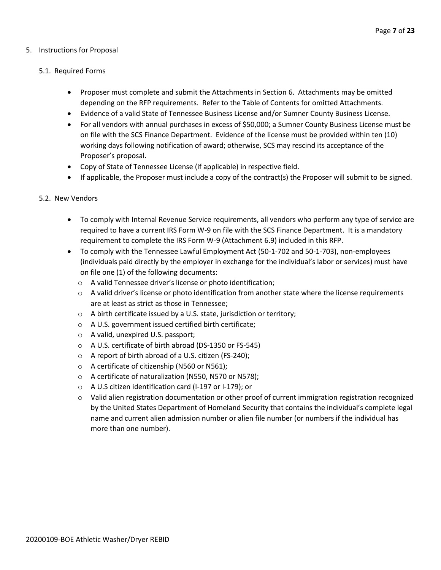#### 5. Instructions for Proposal

#### 5.1. Required Forms

- Proposer must complete and submit the Attachments in Section 6. Attachments may be omitted depending on the RFP requirements. Refer to the Table of Contents for omitted Attachments.
- Evidence of a valid State of Tennessee Business License and/or Sumner County Business License.
- For all vendors with annual purchases in excess of \$50,000; a Sumner County Business License must be on file with the SCS Finance Department. Evidence of the license must be provided within ten (10) working days following notification of award; otherwise, SCS may rescind its acceptance of the Proposer's proposal.
- Copy of State of Tennessee License (if applicable) in respective field.
- If applicable, the Proposer must include a copy of the contract(s) the Proposer will submit to be signed.

#### 5.2. New Vendors

- To comply with Internal Revenue Service requirements, all vendors who perform any type of service are required to have a current IRS Form W-9 on file with the SCS Finance Department. It is a mandatory requirement to complete the IRS Form W-9 (Attachment 6.9) included in this RFP.
- To comply with the Tennessee Lawful Employment Act (50-1-702 and 50-1-703), non-employees (individuals paid directly by the employer in exchange for the individual's labor or services) must have on file one (1) of the following documents:
	- o A valid Tennessee driver's license or photo identification;
	- $\circ$  A valid driver's license or photo identification from another state where the license requirements are at least as strict as those in Tennessee;
	- o A birth certificate issued by a U.S. state, jurisdiction or territory;
	- o A U.S. government issued certified birth certificate;
	- o A valid, unexpired U.S. passport;
	- o A U.S. certificate of birth abroad (DS-1350 or FS-545)
	- o A report of birth abroad of a U.S. citizen (FS-240);
	- o A certificate of citizenship (N560 or N561);
	- o A certificate of naturalization (N550, N570 or N578);
	- o A U.S citizen identification card (I-197 or I-179); or
	- $\circ$  Valid alien registration documentation or other proof of current immigration registration recognized by the United States Department of Homeland Security that contains the individual's complete legal name and current alien admission number or alien file number (or numbers if the individual has more than one number).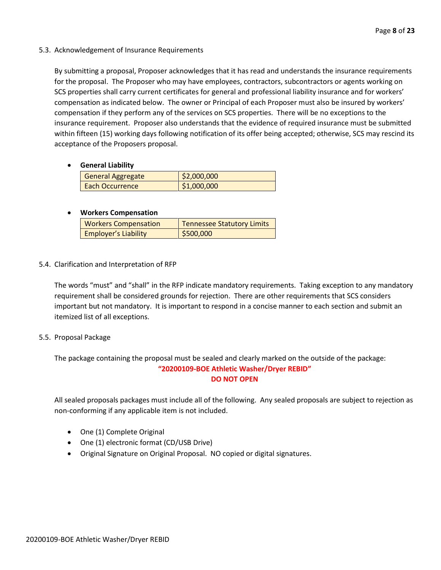#### 5.3. Acknowledgement of Insurance Requirements

By submitting a proposal, Proposer acknowledges that it has read and understands the insurance requirements for the proposal. The Proposer who may have employees, contractors, subcontractors or agents working on SCS properties shall carry current certificates for general and professional liability insurance and for workers' compensation as indicated below. The owner or Principal of each Proposer must also be insured by workers' compensation if they perform any of the services on SCS properties. There will be no exceptions to the insurance requirement. Proposer also understands that the evidence of required insurance must be submitted within fifteen (15) working days following notification of its offer being accepted; otherwise, SCS may rescind its acceptance of the Proposers proposal.

#### • **General Liability**

| <b>General Aggregate</b> | \$2,000,000 |
|--------------------------|-------------|
| Each Occurrence          | \$1,000,000 |

#### • **Workers Compensation**

| <b>Workers Compensation</b> | <b>Tennessee Statutory Limits</b> |  |  |
|-----------------------------|-----------------------------------|--|--|
| <b>Employer's Liability</b> | \$500,000                         |  |  |

#### 5.4. Clarification and Interpretation of RFP

The words "must" and "shall" in the RFP indicate mandatory requirements. Taking exception to any mandatory requirement shall be considered grounds for rejection. There are other requirements that SCS considers important but not mandatory. It is important to respond in a concise manner to each section and submit an itemized list of all exceptions.

#### 5.5. Proposal Package

The package containing the proposal must be sealed and clearly marked on the outside of the package: **"20200109-BOE Athletic Washer/Dryer REBID" DO NOT OPEN**

All sealed proposals packages must include all of the following. Any sealed proposals are subject to rejection as non-conforming if any applicable item is not included.

- One (1) Complete Original
- One (1) electronic format (CD/USB Drive)
- Original Signature on Original Proposal. NO copied or digital signatures.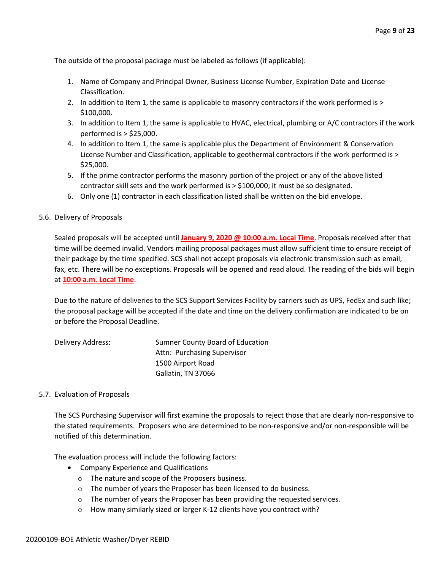The outside of the proposal package must be labeled as follows (if applicable):

- 1. Name of Company and Principal Owner, Business License Number, Expiration Date and License Classification.
- 2. In addition to Item 1, the same is applicable to masonry contractors if the work performed is > \$100,000.
- 3. In addition to Item 1, the same is applicable to HVAC, electrical, plumbing or A/C contractors if the work performed is > \$25,000.
- 4. In addition to Item 1, the same is applicable plus the Department of Environment & Conservation License Number and Classification, applicable to geothermal contractors if the work performed is > \$25,000.
- 5. If the prime contractor performs the masonry portion of the project or any of the above listed contractor skill sets and the work performed is > \$100,000; it must be so designated.
- 6. Only one (1) contractor in each classification listed shall be written on the bid envelope.
- 5.6. Delivery of Proposals

Sealed proposals will be accepted until **January 9, 2020 @ 10:00 a.m. Local Time**. Proposals received after that time will be deemed invalid. Vendors mailing proposal packages must allow sufficient time to ensure receipt of their package by the time specified. SCS shall not accept proposals via electronic transmission such as email, fax, etc. There will be no exceptions. Proposals will be opened and read aloud. The reading of the bids will begin at **10:00 a.m. Local Time**.

Due to the nature of deliveries to the SCS Support Services Facility by carriers such as UPS, FedEx and such like; the proposal package will be accepted if the date and time on the delivery confirmation are indicated to be on or before the Proposal Deadline.

| Delivery Address: | Sumner County Board of Education |
|-------------------|----------------------------------|
|                   | Attn: Purchasing Supervisor      |
|                   | 1500 Airport Road                |
|                   | Gallatin, TN 37066               |

#### 5.7. Evaluation of Proposals

The SCS Purchasing Supervisor will first examine the proposals to reject those that are clearly non-responsive to the stated requirements. Proposers who are determined to be non-responsive and/or non-responsible will be notified of this determination.

The evaluation process will include the following factors:

- Company Experience and Qualifications
	- o The nature and scope of the Proposers business.
	- o The number of years the Proposer has been licensed to do business.
	- o The number of years the Proposer has been providing the requested services.
	- o How many similarly sized or larger K-12 clients have you contract with?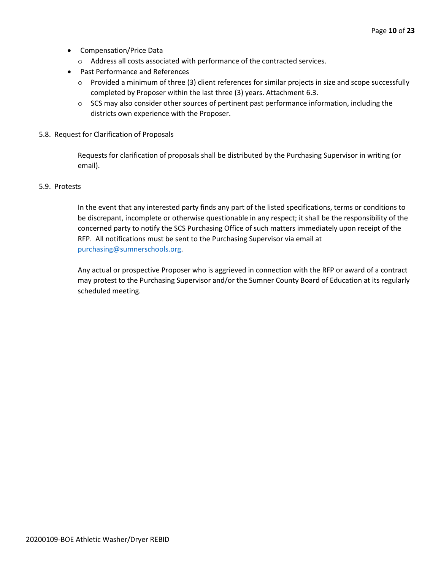- Compensation/Price Data
	- o Address all costs associated with performance of the contracted services.
- Past Performance and References
	- o Provided a minimum of three (3) client references for similar projects in size and scope successfully completed by Proposer within the last three (3) years. Attachment 6.3.
	- $\circ$  SCS may also consider other sources of pertinent past performance information, including the districts own experience with the Proposer.
- 5.8. Request for Clarification of Proposals

Requests for clarification of proposals shall be distributed by the Purchasing Supervisor in writing (or email).

#### 5.9. Protests

In the event that any interested party finds any part of the listed specifications, terms or conditions to be discrepant, incomplete or otherwise questionable in any respect; it shall be the responsibility of the concerned party to notify the SCS Purchasing Office of such matters immediately upon receipt of the RFP. All notifications must be sent to the Purchasing Supervisor via email at [purchasing@sumnerschools.org.](mailto:purchasing@sumnerschools.org)

Any actual or prospective Proposer who is aggrieved in connection with the RFP or award of a contract may protest to the Purchasing Supervisor and/or the Sumner County Board of Education at its regularly scheduled meeting.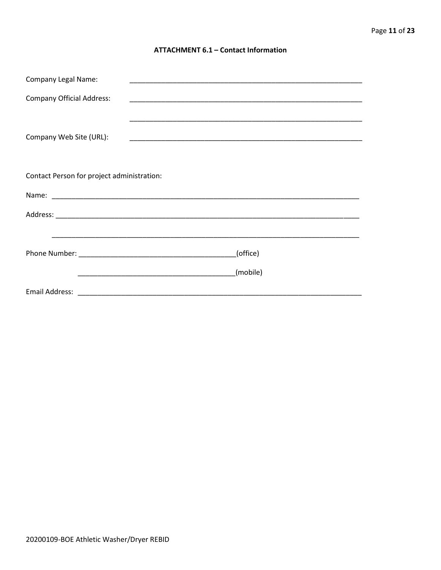#### **ATTACHMENT 6.1 - Contact Information**

| <b>Company Legal Name:</b>                 |          |
|--------------------------------------------|----------|
| <b>Company Official Address:</b>           |          |
|                                            |          |
| Company Web Site (URL):                    |          |
|                                            |          |
|                                            |          |
| Contact Person for project administration: |          |
|                                            |          |
|                                            |          |
|                                            |          |
|                                            | (office) |
|                                            |          |
|                                            | (mobile) |
|                                            |          |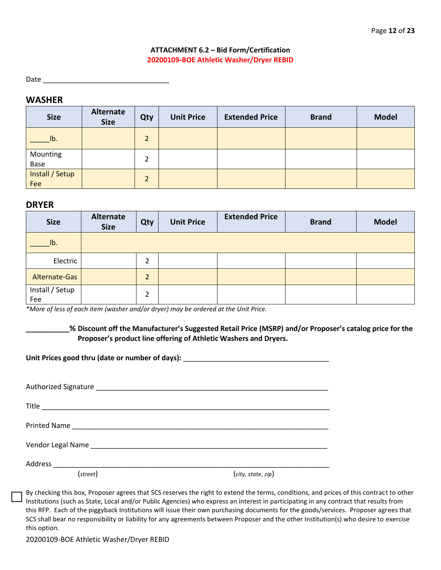#### **ATTACHMENT 6.2 – Bid Form/Certification 20200109-BOE Athletic Washer/Dryer REBID**

Date  $\Box$ 

#### **WASHER**

| <b>Size</b>            | Alternate<br><b>Size</b> | Qty            | <b>Unit Price</b> | <b>Extended Price</b> | <b>Brand</b> | <b>Model</b> |
|------------------------|--------------------------|----------------|-------------------|-----------------------|--------------|--------------|
| Ib.                    |                          | $\overline{2}$ |                   |                       |              |              |
| Mounting<br>Base       |                          | 2              |                   |                       |              |              |
| Install / Setup<br>Fee |                          | $\overline{2}$ |                   |                       |              |              |

#### **DRYER**

| <b>Size</b>            | <b>Alternate</b><br><b>Size</b> | Qty            | <b>Unit Price</b> | <b>Extended Price</b> | <b>Brand</b> | <b>Model</b> |
|------------------------|---------------------------------|----------------|-------------------|-----------------------|--------------|--------------|
| lb.                    |                                 |                |                   |                       |              |              |
| Electric               |                                 | $\overline{2}$ |                   |                       |              |              |
| Alternate-Gas          |                                 | $\overline{2}$ |                   |                       |              |              |
| Install / Setup<br>Fee |                                 | $\overline{2}$ |                   |                       |              |              |

*\*More of less of each item (washer and/or dryer) may be ordered at the Unit Price.*

**\_\_\_\_\_\_\_\_\_\_\_% Discount off the Manufacturer's Suggested Retail Price (MSRP) and/or Proposer's catalog price for the Proposer's product line offering of Athletic Washers and Dryers.**

Unit Prices good thru (date or number of days):

| (street) | (city, state, zip) |
|----------|--------------------|

By checking this box, Proposer agrees that SCS reserves the right to extend the terms, conditions, and prices of this contract to other Institutions (such as State, Local and/or Public Agencies) who express an interest in participating in any contract that results from this RFP. Each of the piggyback Institutions will issue their own purchasing documents for the goods/services. Proposer agrees that SCS shall bear no responsibility or liability for any agreements between Proposer and the other Institution(s) who desire to exercise this option.

20200109-BOE Athletic Washer/Dryer REBID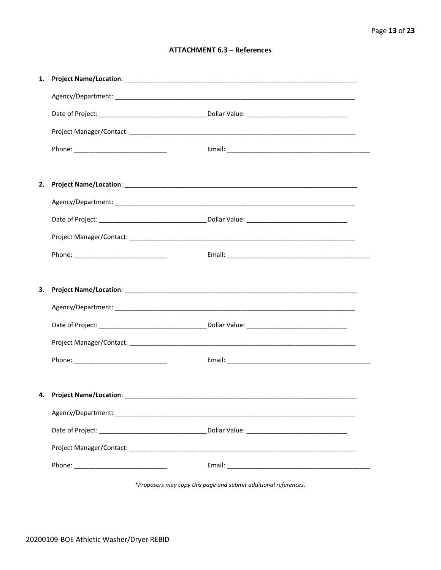#### **ATTACHMENT 6.3 - References**

| 1. |                                    |  |
|----|------------------------------------|--|
|    |                                    |  |
|    |                                    |  |
|    |                                    |  |
|    |                                    |  |
|    |                                    |  |
| 2. |                                    |  |
|    |                                    |  |
|    |                                    |  |
|    |                                    |  |
|    |                                    |  |
|    |                                    |  |
|    |                                    |  |
| 3. |                                    |  |
|    |                                    |  |
|    |                                    |  |
|    |                                    |  |
|    |                                    |  |
|    |                                    |  |
|    | 4. Project Name/Location: ________ |  |
|    |                                    |  |
|    |                                    |  |
|    |                                    |  |

\*Proposers may copy this page and submit additional references.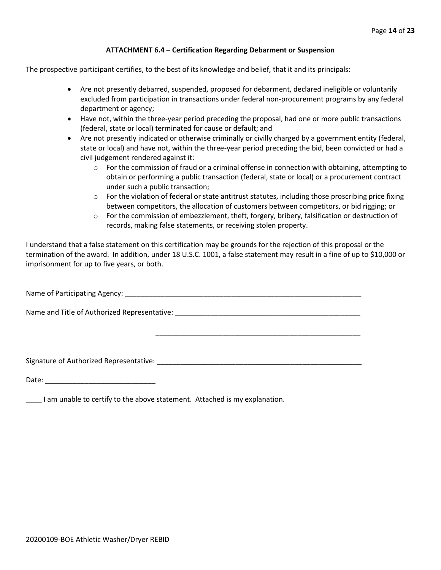#### **ATTACHMENT 6.4 – Certification Regarding Debarment or Suspension**

The prospective participant certifies, to the best of its knowledge and belief, that it and its principals:

- Are not presently debarred, suspended, proposed for debarment, declared ineligible or voluntarily excluded from participation in transactions under federal non-procurement programs by any federal department or agency;
- Have not, within the three-year period preceding the proposal, had one or more public transactions (federal, state or local) terminated for cause or default; and
- Are not presently indicated or otherwise criminally or civilly charged by a government entity (federal, state or local) and have not, within the three-year period preceding the bid, been convicted or had a civil judgement rendered against it:
	- $\circ$  For the commission of fraud or a criminal offense in connection with obtaining, attempting to obtain or performing a public transaction (federal, state or local) or a procurement contract under such a public transaction;
	- $\circ$  For the violation of federal or state antitrust statutes, including those proscribing price fixing between competitors, the allocation of customers between competitors, or bid rigging; or
	- $\circ$  For the commission of embezzlement, theft, forgery, bribery, falsification or destruction of records, making false statements, or receiving stolen property.

\_\_\_\_\_\_\_\_\_\_\_\_\_\_\_\_\_\_\_\_\_\_\_\_\_\_\_\_\_\_\_\_\_\_\_\_\_\_\_\_\_\_\_\_\_\_\_\_\_\_\_\_

I understand that a false statement on this certification may be grounds for the rejection of this proposal or the termination of the award. In addition, under 18 U.S.C. 1001, a false statement may result in a fine of up to \$10,000 or imprisonment for up to five years, or both.

Name of Participating Agency: \_\_\_\_\_\_\_\_\_\_\_\_\_\_\_\_\_\_\_\_\_\_\_\_\_\_\_\_\_\_\_\_\_\_\_\_\_\_\_\_\_\_\_\_\_\_\_\_\_\_\_\_\_\_\_\_\_\_\_\_

Name and Title of Authorized Representative: \_\_\_\_\_\_\_\_\_\_\_\_\_\_\_\_\_\_\_\_\_\_\_\_\_\_\_\_\_\_\_\_\_\_\_

Signature of Authorized Representative: \_\_\_\_\_\_\_\_\_\_\_\_\_\_\_\_\_\_\_\_\_\_\_\_\_\_\_\_\_\_\_\_\_\_\_\_\_\_\_\_\_\_\_\_\_\_\_\_\_\_\_\_

Date: \_\_\_\_\_\_\_\_\_\_\_\_\_\_\_\_\_\_\_\_\_\_\_\_\_\_\_\_

\_\_\_\_ I am unable to certify to the above statement. Attached is my explanation.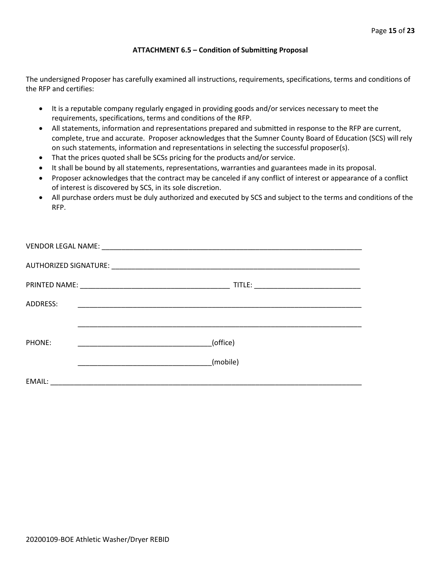#### **ATTACHMENT 6.5 – Condition of Submitting Proposal**

The undersigned Proposer has carefully examined all instructions, requirements, specifications, terms and conditions of the RFP and certifies:

- It is a reputable company regularly engaged in providing goods and/or services necessary to meet the requirements, specifications, terms and conditions of the RFP.
- All statements, information and representations prepared and submitted in response to the RFP are current, complete, true and accurate. Proposer acknowledges that the Sumner County Board of Education (SCS) will rely on such statements, information and representations in selecting the successful proposer(s).
- That the prices quoted shall be SCSs pricing for the products and/or service.
- It shall be bound by all statements, representations, warranties and guarantees made in its proposal.
- Proposer acknowledges that the contract may be canceled if any conflict of interest or appearance of a conflict of interest is discovered by SCS, in its sole discretion.
- All purchase orders must be duly authorized and executed by SCS and subject to the terms and conditions of the RFP.

| ADDRESS: |                                                     |
|----------|-----------------------------------------------------|
|          |                                                     |
|          |                                                     |
| PHONE:   | (office)<br><u> 1990 - Johann Barbara, martin a</u> |
|          |                                                     |
|          | (mobile)                                            |
| EMAIL:   |                                                     |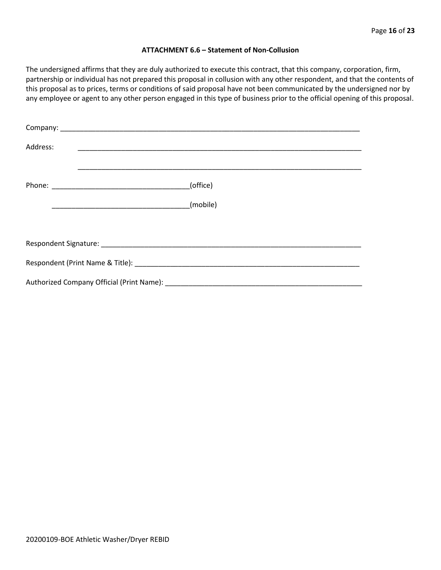#### **ATTACHMENT 6.6 – Statement of Non-Collusion**

The undersigned affirms that they are duly authorized to execute this contract, that this company, corporation, firm, partnership or individual has not prepared this proposal in collusion with any other respondent, and that the contents of this proposal as to prices, terms or conditions of said proposal have not been communicated by the undersigned nor by any employee or agent to any other person engaged in this type of business prior to the official opening of this proposal.

| Address: |                                                                                                                                                                                                                                |  |  |  |
|----------|--------------------------------------------------------------------------------------------------------------------------------------------------------------------------------------------------------------------------------|--|--|--|
|          | (office)                                                                                                                                                                                                                       |  |  |  |
|          | (mobile)                                                                                                                                                                                                                       |  |  |  |
|          |                                                                                                                                                                                                                                |  |  |  |
|          |                                                                                                                                                                                                                                |  |  |  |
|          | Respondent (Print Name & Title): North Contract Contract Contract Contract Contract Contract Contract Contract Contract Contract Contract Contract Contract Contract Contract Contract Contract Contract Contract Contract Con |  |  |  |
|          |                                                                                                                                                                                                                                |  |  |  |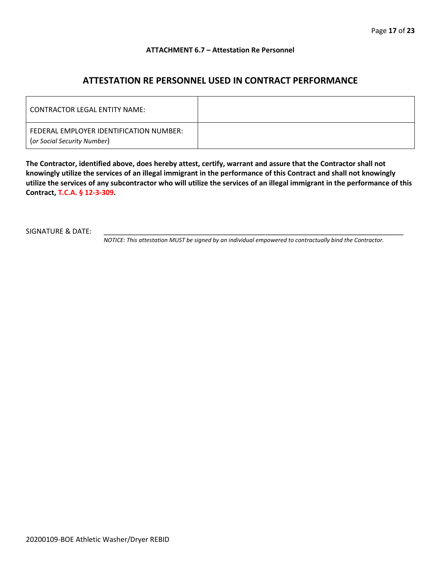#### **ATTACHMENT 6.7 – Attestation Re Personnel**

### **ATTESTATION RE PERSONNEL USED IN CONTRACT PERFORMANCE**

| CONTRACTOR LEGAL ENTITY NAME:                                          |  |
|------------------------------------------------------------------------|--|
| FEDERAL EMPLOYER IDENTIFICATION NUMBER:<br>(or Social Security Number) |  |

**The Contractor, identified above, does hereby attest, certify, warrant and assure that the Contractor shall not knowingly utilize the services of an illegal immigrant in the performance of this Contract and shall not knowingly utilize the services of any subcontractor who will utilize the services of an illegal immigrant in the performance of this Contract, T.C.A. § 12-3-309.**

SIGNATURE & DATE:

*NOTICE: This attestation MUST be signed by an individual empowered to contractually bind the Contractor.*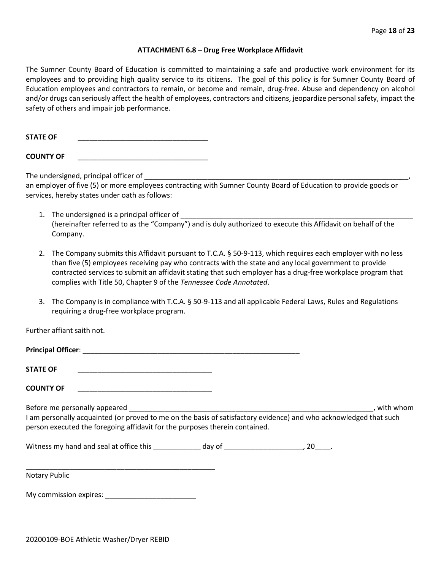#### **ATTACHMENT 6.8 – Drug Free Workplace Affidavit**

The Sumner County Board of Education is committed to maintaining a safe and productive work environment for its employees and to providing high quality service to its citizens. The goal of this policy is for Sumner County Board of Education employees and contractors to remain, or become and remain, drug-free. Abuse and dependency on alcohol and/or drugs can seriously affect the health of employees, contractors and citizens, jeopardize personal safety, impact the safety of others and impair job performance.

STATE OF

**COUNTY OF** \_\_\_\_\_\_\_\_\_\_\_\_\_\_\_\_\_\_\_\_\_\_\_\_\_\_\_\_\_\_\_\_\_

The undersigned, principal officer of

an employer of five (5) or more employees contracting with Sumner County Board of Education to provide goods or services, hereby states under oath as follows:

- 1. The undersigned is a principal officer of (hereinafter referred to as the "Company") and is duly authorized to execute this Affidavit on behalf of the Company.
- 2. The Company submits this Affidavit pursuant to T.C.A. § 50-9-113, which requires each employer with no less than five (5) employees receiving pay who contracts with the state and any local government to provide contracted services to submit an affidavit stating that such employer has a drug-free workplace program that complies with Title 50, Chapter 9 of the *Tennessee Code Annotated*.
- 3. The Company is in compliance with T.C.A. § 50-9-113 and all applicable Federal Laws, Rules and Regulations requiring a drug-free workplace program.

Further affiant saith not.

| Principal Officer: |  |
|--------------------|--|
| <b>STATE OF</b>    |  |

**COUNTY OF** \_\_\_\_\_\_\_\_\_\_\_\_\_\_\_\_\_\_\_\_\_\_\_\_\_\_\_\_\_\_\_\_\_\_

Before me personally appeared \_\_\_\_\_\_\_\_\_\_\_\_\_\_\_\_\_\_\_\_\_\_\_\_\_\_\_\_\_\_\_\_\_\_\_\_\_\_\_\_\_\_\_\_\_\_\_\_\_\_\_\_\_\_\_\_\_\_\_\_\_\_, with whom I am personally acquainted (or proved to me on the basis of satisfactory evidence) and who acknowledged that such person executed the foregoing affidavit for the purposes therein contained.

Witness my hand and seal at office this \_\_\_\_\_\_\_\_\_\_\_\_\_ day of \_\_\_\_\_\_\_\_\_\_\_\_\_\_\_\_\_\_\_\_\_, 20\_\_\_\_.

\_\_\_\_\_\_\_\_\_\_\_\_\_\_\_\_\_\_\_\_\_\_\_\_\_\_\_\_\_\_\_\_\_\_\_\_\_\_\_\_\_\_\_\_\_\_\_\_ Notary Public

My commission expires: \_\_\_\_\_\_\_\_\_\_\_\_\_\_\_\_\_\_\_\_\_\_\_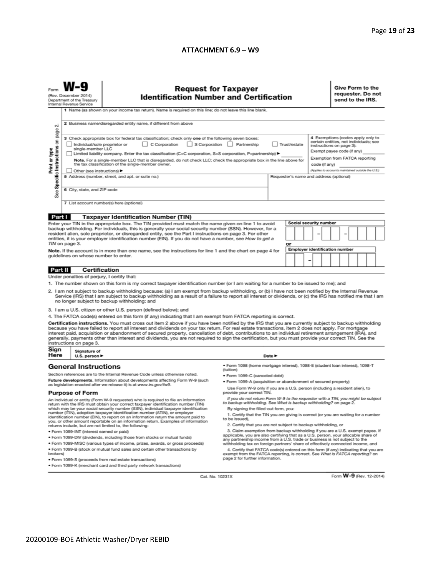#### **ATTACHMENT 6.9 – W9**

|                                                                                                                                                                                                                                                                                                                                                                                                                                                                                                                                                                                                                                                                                                                                                                                                                                                                                                                                                                                                                                                                                                                                                                                                                                                                                                                                                                | <b>Request for Taxpayer</b><br>(Rev. December 2014)<br><b>Identification Number and Certification</b><br>Department of the Treasury<br>Internal Revenue Service<br>1 Name (as shown on your income tax return). Name is required on this line; do not leave this line blank.<br>2 Business name/disregarded entity name, if different from above                                                                                                                                                                                                                                                                                                                                                                                                |                                                                                                                              |                                                                                                                                                                                                                                                                                                                                                                                                                                                                                                                                                                                                                                                                                                                                                                                                                                                                                                                                                                                                                                                                                                                                                     |                            |  |  |  |                                                                                                                                                                                                                              | Give Form to the<br>requester. Do not<br>send to the IRS. |  |  |  |  |  |
|----------------------------------------------------------------------------------------------------------------------------------------------------------------------------------------------------------------------------------------------------------------------------------------------------------------------------------------------------------------------------------------------------------------------------------------------------------------------------------------------------------------------------------------------------------------------------------------------------------------------------------------------------------------------------------------------------------------------------------------------------------------------------------------------------------------------------------------------------------------------------------------------------------------------------------------------------------------------------------------------------------------------------------------------------------------------------------------------------------------------------------------------------------------------------------------------------------------------------------------------------------------------------------------------------------------------------------------------------------------|-------------------------------------------------------------------------------------------------------------------------------------------------------------------------------------------------------------------------------------------------------------------------------------------------------------------------------------------------------------------------------------------------------------------------------------------------------------------------------------------------------------------------------------------------------------------------------------------------------------------------------------------------------------------------------------------------------------------------------------------------|------------------------------------------------------------------------------------------------------------------------------|-----------------------------------------------------------------------------------------------------------------------------------------------------------------------------------------------------------------------------------------------------------------------------------------------------------------------------------------------------------------------------------------------------------------------------------------------------------------------------------------------------------------------------------------------------------------------------------------------------------------------------------------------------------------------------------------------------------------------------------------------------------------------------------------------------------------------------------------------------------------------------------------------------------------------------------------------------------------------------------------------------------------------------------------------------------------------------------------------------------------------------------------------------|----------------------------|--|--|--|------------------------------------------------------------------------------------------------------------------------------------------------------------------------------------------------------------------------------|-----------------------------------------------------------|--|--|--|--|--|
| N<br>Specific Instructions on page<br>Print or type<br>See                                                                                                                                                                                                                                                                                                                                                                                                                                                                                                                                                                                                                                                                                                                                                                                                                                                                                                                                                                                                                                                                                                                                                                                                                                                                                                     | 3 Check appropriate box for federal tax classification; check only one of the following seven boxes:<br>C Corporation<br>S Corporation Partnership<br>Trust/estate<br>Individual/sole proprietor or<br>single-member LLC<br>Limited liability company. Enter the tax classification (C=C corporation, S=S corporation, P=partnership) ▶<br>Note. For a single-member LLC that is disregarded, do not check LLC; check the appropriate box in the line above for<br>the tax classification of the single-member owner.<br>code (if any)<br>Other (see instructions) ▶<br>5 Address (number, street, and apt. or suite no.)<br>Requester's name and address (optional)<br>6 City, state, and ZIP code<br>7 List account number(s) here (optional) |                                                                                                                              |                                                                                                                                                                                                                                                                                                                                                                                                                                                                                                                                                                                                                                                                                                                                                                                                                                                                                                                                                                                                                                                                                                                                                     |                            |  |  |  | 4 Exemptions (codes apply only to<br>certain entities, not individuals; see<br>instructions on page 3):<br>Exempt payee code (if any)<br>Exemption from FATCA reporting<br>(Applies to accounts maintained outside the U.S.) |                                                           |  |  |  |  |  |
|                                                                                                                                                                                                                                                                                                                                                                                                                                                                                                                                                                                                                                                                                                                                                                                                                                                                                                                                                                                                                                                                                                                                                                                                                                                                                                                                                                |                                                                                                                                                                                                                                                                                                                                                                                                                                                                                                                                                                                                                                                                                                                                                 |                                                                                                                              |                                                                                                                                                                                                                                                                                                                                                                                                                                                                                                                                                                                                                                                                                                                                                                                                                                                                                                                                                                                                                                                                                                                                                     |                            |  |  |  |                                                                                                                                                                                                                              |                                                           |  |  |  |  |  |
| Part I<br><b>Taxpayer Identification Number (TIN)</b><br>Social security number<br>Enter your TIN in the appropriate box. The TIN provided must match the name given on line 1 to avoid<br>backup withholding. For individuals, this is generally your social security number (SSN). However, for a<br>resident alien, sole proprietor, or disregarded entity, see the Part I instructions on page 3. For other<br>-<br>entities, it is your employer identification number (EIN). If you do not have a number, see How to get a<br>TIN on page 3.<br>or<br><b>Employer identification number</b><br>Note. If the account is in more than one name, see the instructions for line 1 and the chart on page 4 for<br>guidelines on whose number to enter.<br>-                                                                                                                                                                                                                                                                                                                                                                                                                                                                                                                                                                                                   |                                                                                                                                                                                                                                                                                                                                                                                                                                                                                                                                                                                                                                                                                                                                                 |                                                                                                                              |                                                                                                                                                                                                                                                                                                                                                                                                                                                                                                                                                                                                                                                                                                                                                                                                                                                                                                                                                                                                                                                                                                                                                     |                            |  |  |  |                                                                                                                                                                                                                              |                                                           |  |  |  |  |  |
|                                                                                                                                                                                                                                                                                                                                                                                                                                                                                                                                                                                                                                                                                                                                                                                                                                                                                                                                                                                                                                                                                                                                                                                                                                                                                                                                                                | <b>Certification</b>                                                                                                                                                                                                                                                                                                                                                                                                                                                                                                                                                                                                                                                                                                                            |                                                                                                                              |                                                                                                                                                                                                                                                                                                                                                                                                                                                                                                                                                                                                                                                                                                                                                                                                                                                                                                                                                                                                                                                                                                                                                     |                            |  |  |  |                                                                                                                                                                                                                              |                                                           |  |  |  |  |  |
| Part II                                                                                                                                                                                                                                                                                                                                                                                                                                                                                                                                                                                                                                                                                                                                                                                                                                                                                                                                                                                                                                                                                                                                                                                                                                                                                                                                                        | Under penalties of perjury, I certify that:                                                                                                                                                                                                                                                                                                                                                                                                                                                                                                                                                                                                                                                                                                     |                                                                                                                              |                                                                                                                                                                                                                                                                                                                                                                                                                                                                                                                                                                                                                                                                                                                                                                                                                                                                                                                                                                                                                                                                                                                                                     |                            |  |  |  |                                                                                                                                                                                                                              |                                                           |  |  |  |  |  |
| 1. The number shown on this form is my correct taxpayer identification number (or I am waiting for a number to be issued to me); and<br>2. I am not subject to backup withholding because: (a) I am exempt from backup withholding, or (b) I have not been notified by the Internal Revenue<br>Service (IRS) that I am subject to backup withholding as a result of a failure to report all interest or dividends, or (c) the IRS has notified me that I am<br>no longer subject to backup withholding; and<br>3. I am a U.S. citizen or other U.S. person (defined below); and<br>4. The FATCA code(s) entered on this form (if any) indicating that I am exempt from FATCA reporting is correct.<br>Certification instructions. You must cross out item 2 above if you have been notified by the IRS that you are currently subject to backup withholding<br>because you have failed to report all interest and dividends on your tax return. For real estate transactions, item 2 does not apply. For mortgage<br>interest paid, acquisition or abandonment of secured property, cancellation of debt, contributions to an individual retirement arrangement (IRA), and<br>generally, payments other than interest and dividends, you are not required to sign the certification, but you must provide your correct TIN. See the<br>instructions on page 3. |                                                                                                                                                                                                                                                                                                                                                                                                                                                                                                                                                                                                                                                                                                                                                 |                                                                                                                              |                                                                                                                                                                                                                                                                                                                                                                                                                                                                                                                                                                                                                                                                                                                                                                                                                                                                                                                                                                                                                                                                                                                                                     |                            |  |  |  |                                                                                                                                                                                                                              |                                                           |  |  |  |  |  |
| Sign                                                                                                                                                                                                                                                                                                                                                                                                                                                                                                                                                                                                                                                                                                                                                                                                                                                                                                                                                                                                                                                                                                                                                                                                                                                                                                                                                           | Signature of                                                                                                                                                                                                                                                                                                                                                                                                                                                                                                                                                                                                                                                                                                                                    |                                                                                                                              |                                                                                                                                                                                                                                                                                                                                                                                                                                                                                                                                                                                                                                                                                                                                                                                                                                                                                                                                                                                                                                                                                                                                                     |                            |  |  |  |                                                                                                                                                                                                                              |                                                           |  |  |  |  |  |
| Here                                                                                                                                                                                                                                                                                                                                                                                                                                                                                                                                                                                                                                                                                                                                                                                                                                                                                                                                                                                                                                                                                                                                                                                                                                                                                                                                                           | U.S. person ▶                                                                                                                                                                                                                                                                                                                                                                                                                                                                                                                                                                                                                                                                                                                                   |                                                                                                                              | · Form 1098 (home mortgage interest), 1098-E (student loan interest), 1098-T                                                                                                                                                                                                                                                                                                                                                                                                                                                                                                                                                                                                                                                                                                                                                                                                                                                                                                                                                                                                                                                                        | Date $\blacktriangleright$ |  |  |  |                                                                                                                                                                                                                              |                                                           |  |  |  |  |  |
| <b>General Instructions</b><br>Section references are to the Internal Revenue Code unless otherwise noted.<br>Future developments. Information about developments affecting Form W-9 (such<br>as legislation enacted after we release it) is at www.irs.gov/fw9.<br><b>Purpose of Form</b><br>An individual or entity (Form W-9 requester) who is required to file an information<br>return with the IRS must obtain your correct taxpayer identification number (TIN)<br>which may be your social security number (SSN), individual taxpayer identification<br>number (ITIN), adoption taxpayer identification number (ATIN), or employer<br>identification number (EIN), to report on an information return the amount paid to<br>you, or other amount reportable on an information return. Examples of information<br>returns include, but are not limited to, the following:<br>· Form 1099-INT (interest earned or paid)<br>. Form 1099-DIV (dividends, including those from stocks or mutual funds)<br>* Form 1099-MISC (various types of income, prizes, awards, or gross proceeds)<br>. Form 1099-B (stock or mutual fund sales and certain other transactions by<br>brokers)                                                                                                                                                                          |                                                                                                                                                                                                                                                                                                                                                                                                                                                                                                                                                                                                                                                                                                                                                 |                                                                                                                              | (tuition)<br>· Form 1099-C (canceled debt)<br>. Form 1099-A (acquisition or abandonment of secured property)<br>Use Form W-9 only if you are a U.S. person (including a resident alien), to<br>provide your correct TIN.<br>If you do not return Form W-9 to the requester with a TIN, you might be subject<br>to backup withholding. See What is backup withholding? on page 2.<br>By signing the filled-out form, you:<br>1. Certify that the TIN you are giving is correct (or you are waiting for a number<br>to be issued).<br>2. Certify that you are not subject to backup withholding, or<br>3. Claim exemption from backup withholding if you are a U.S. exempt payee. If<br>applicable, you are also certifying that as a U.S. person, your allocable share of<br>any partnership income from a U.S. trade or business is not subject to the<br>withholding tax on foreign partners' share of effectively connected income, and<br>4. Certify that FATCA code(s) entered on this form (if any) indicating that you are<br>exempt from the FATCA reporting, is correct. See What is FATCA reporting? on<br>page 2 for further information. |                            |  |  |  |                                                                                                                                                                                                                              |                                                           |  |  |  |  |  |
|                                                                                                                                                                                                                                                                                                                                                                                                                                                                                                                                                                                                                                                                                                                                                                                                                                                                                                                                                                                                                                                                                                                                                                                                                                                                                                                                                                |                                                                                                                                                                                                                                                                                                                                                                                                                                                                                                                                                                                                                                                                                                                                                 | · Form 1099-S (proceeds from real estate transactions)<br>. Form 1099-K (merchant card and third party network transactions) |                                                                                                                                                                                                                                                                                                                                                                                                                                                                                                                                                                                                                                                                                                                                                                                                                                                                                                                                                                                                                                                                                                                                                     |                            |  |  |  |                                                                                                                                                                                                                              |                                                           |  |  |  |  |  |

Cat. No. 10231X

Form W-9 (Rev. 12-2014)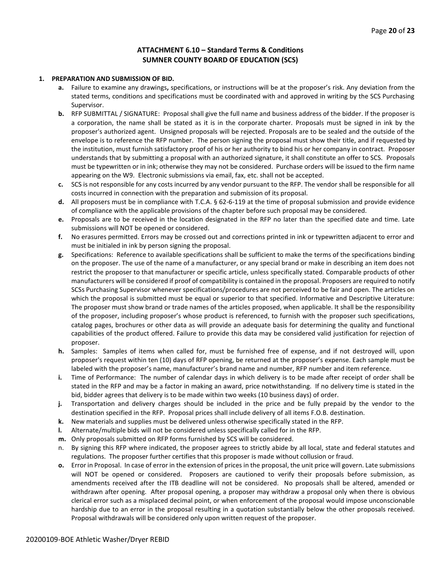#### **ATTACHMENT 6.10 – Standard Terms & Conditions SUMNER COUNTY BOARD OF EDUCATION (SCS)**

#### **1. PREPARATION AND SUBMISSION OF BID.**

- **a.** Failure to examine any drawings**,** specifications, or instructions will be at the proposer's risk. Any deviation from the stated terms, conditions and specifications must be coordinated with and approved in writing by the SCS Purchasing Supervisor.
- **b.** RFP SUBMITTAL / SIGNATURE: Proposal shall give the full name and business address of the bidder. If the proposer is a corporation, the name shall be stated as it is in the corporate charter. Proposals must be signed in ink by the proposer's authorized agent. Unsigned proposals will be rejected. Proposals are to be sealed and the outside of the envelope is to reference the RFP number. The person signing the proposal must show their title, and if requested by the institution, must furnish satisfactory proof of his or her authority to bind his or her company in contract. Proposer understands that by submitting a proposal with an authorized signature, it shall constitute an offer to SCS. Proposals must be typewritten or in ink; otherwise they may not be considered. Purchase orders will be issued to the firm name appearing on the W9. Electronic submissions via email, fax, etc. shall not be accepted.
- **c.** SCS is not responsible for any costs incurred by any vendor pursuant to the RFP. The vendor shall be responsible for all costs incurred in connection with the preparation and submission of its proposal.
- **d.** All proposers must be in compliance with T.C.A. § 62-6-119 at the time of proposal submission and provide evidence of compliance with the applicable provisions of the chapter before such proposal may be considered.
- **e.** Proposals are to be received in the location designated in the RFP no later than the specified date and time. Late submissions will NOT be opened or considered.
- **f.** No erasures permitted. Errors may be crossed out and corrections printed in ink or typewritten adjacent to error and must be initialed in ink by person signing the proposal.
- **g.** Specifications: Reference to available specifications shall be sufficient to make the terms of the specifications binding on the proposer. The use of the name of a manufacturer, or any special brand or make in describing an item does not restrict the proposer to that manufacturer or specific article, unless specifically stated. Comparable products of other manufacturers will be considered if proof of compatibility is contained in the proposal. Proposers are required to notify SCSs Purchasing Supervisor whenever specifications/procedures are not perceived to be fair and open. The articles on which the proposal is submitted must be equal or superior to that specified. Informative and Descriptive Literature: The proposer must show brand or trade names of the articles proposed, when applicable. It shall be the responsibility of the proposer, including proposer's whose product is referenced, to furnish with the proposer such specifications, catalog pages, brochures or other data as will provide an adequate basis for determining the quality and functional capabilities of the product offered. Failure to provide this data may be considered valid justification for rejection of proposer.
- **h.** Samples: Samples of items when called for, must be furnished free of expense, and if not destroyed will, upon proposer's request within ten (10) days of RFP opening, be returned at the proposer's expense. Each sample must be labeled with the proposer's name, manufacturer's brand name and number, RFP number and item reference.
- **i.** Time of Performance: The number of calendar days in which delivery is to be made after receipt of order shall be stated in the RFP and may be a factor in making an award, price notwithstanding. If no delivery time is stated in the bid, bidder agrees that delivery is to be made within two weeks (10 business days) of order.
- **j.** Transportation and delivery charges should be included in the price and be fully prepaid by the vendor to the destination specified in the RFP. Proposal prices shall include delivery of all items F.O.B. destination.
- **k.** New materials and supplies must be delivered unless otherwise specifically stated in the RFP.
- **l.** Alternate/multiple bids will not be considered unless specifically called for in the RFP.
- **m.** Only proposals submitted on RFP forms furnished by SCS will be considered.
- By signing this RFP where indicated, the proposer agrees to strictly abide by all local, state and federal statutes and regulations. The proposer further certifies that this proposer is made without collusion or fraud.
- **o.** Error in Proposal. In case of error in the extension of prices in the proposal, the unit price will govern. Late submissions will NOT be opened or considered. Proposers are cautioned to verify their proposals before submission, as amendments received after the ITB deadline will not be considered. No proposals shall be altered, amended or withdrawn after opening. After proposal opening, a proposer may withdraw a proposal only when there is obvious clerical error such as a misplaced decimal point, or when enforcement of the proposal would impose unconscionable hardship due to an error in the proposal resulting in a quotation substantially below the other proposals received. Proposal withdrawals will be considered only upon written request of the proposer.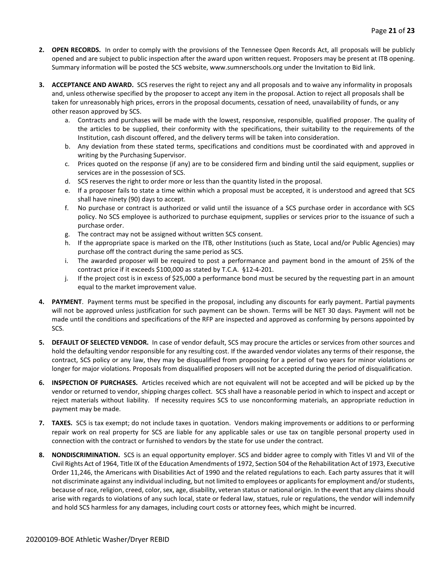- **2. OPEN RECORDS.** In order to comply with the provisions of the Tennessee Open Records Act, all proposals will be publicly opened and are subject to public inspection after the award upon written request. Proposers may be present at ITB opening. Summary information will be posted the SCS website, www.sumnerschools.org under the Invitation to Bid link.
- **3. ACCEPTANCE AND AWARD.** SCS reserves the right to reject any and all proposals and to waive any informality in proposals and, unless otherwise specified by the proposer to accept any item in the proposal. Action to reject all proposals shall be taken for unreasonably high prices, errors in the proposal documents, cessation of need, unavailability of funds, or any other reason approved by SCS.
	- a. Contracts and purchases will be made with the lowest, responsive, responsible, qualified proposer. The quality of the articles to be supplied, their conformity with the specifications, their suitability to the requirements of the Institution, cash discount offered, and the delivery terms will be taken into consideration.
	- b. Any deviation from these stated terms, specifications and conditions must be coordinated with and approved in writing by the Purchasing Supervisor.
	- c. Prices quoted on the response (if any) are to be considered firm and binding until the said equipment, supplies or services are in the possession of SCS.
	- d. SCS reserves the right to order more or less than the quantity listed in the proposal.
	- e. If a proposer fails to state a time within which a proposal must be accepted, it is understood and agreed that SCS shall have ninety (90) days to accept.
	- f. No purchase or contract is authorized or valid until the issuance of a SCS purchase order in accordance with SCS policy. No SCS employee is authorized to purchase equipment, supplies or services prior to the issuance of such a purchase order.
	- g. The contract may not be assigned without written SCS consent.
	- h. If the appropriate space is marked on the ITB, other Institutions (such as State, Local and/or Public Agencies) may purchase off the contract during the same period as SCS.
	- i. The awarded proposer will be required to post a performance and payment bond in the amount of 25% of the contract price if it exceeds \$100,000 as stated by T.C.A. §12-4-201.
	- j. If the project cost is in excess of \$25,000 a performance bond must be secured by the requesting part in an amount equal to the market improvement value.
- **4. PAYMENT**. Payment terms must be specified in the proposal, including any discounts for early payment. Partial payments will not be approved unless justification for such payment can be shown. Terms will be NET 30 days. Payment will not be made until the conditions and specifications of the RFP are inspected and approved as conforming by persons appointed by SCS.
- **5. DEFAULT OF SELECTED VENDOR.** In case of vendor default, SCS may procure the articles or services from other sources and hold the defaulting vendor responsible for any resulting cost. If the awarded vendor violates any terms of their response, the contract, SCS policy or any law, they may be disqualified from proposing for a period of two years for minor violations or longer for major violations. Proposals from disqualified proposers will not be accepted during the period of disqualification.
- **6. INSPECTION OF PURCHASES.** Articles received which are not equivalent will not be accepted and will be picked up by the vendor or returned to vendor, shipping charges collect. SCS shall have a reasonable period in which to inspect and accept or reject materials without liability. If necessity requires SCS to use nonconforming materials, an appropriate reduction in payment may be made.
- **7. TAXES.** SCS is tax exempt; do not include taxes in quotation. Vendors making improvements or additions to or performing repair work on real property for SCS are liable for any applicable sales or use tax on tangible personal property used in connection with the contract or furnished to vendors by the state for use under the contract.
- **8. NONDISCRIMINATION.** SCS is an equal opportunity employer. SCS and bidder agree to comply with Titles VI and VII of the Civil Rights Act of 1964, Title IX of the Education Amendments of 1972, Section 504 of the Rehabilitation Act of 1973, Executive Order 11,246, the Americans with Disabilities Act of 1990 and the related regulations to each. Each party assures that it will not discriminate against any individual including, but not limited to employees or applicants for employment and/or students, because of race, religion, creed, color, sex, age, disability, veteran status or national origin. In the event that any claims should arise with regards to violations of any such local, state or federal law, statues, rule or regulations, the vendor will indemnify and hold SCS harmless for any damages, including court costs or attorney fees, which might be incurred.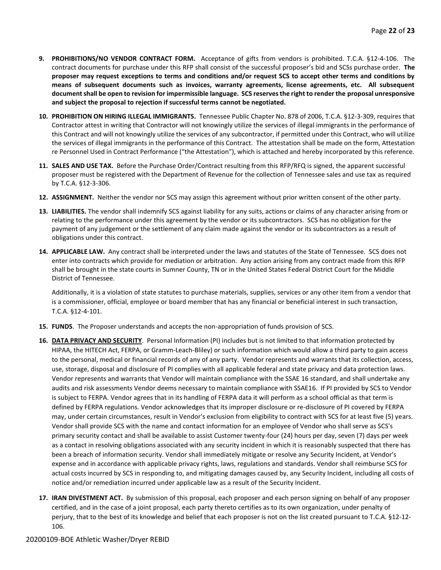- **9. PROHIBITIONS/NO VENDOR CONTRACT FORM.** Acceptance of gifts from vendors is prohibited. T.C.A. §12-4-106. The contract documents for purchase under this RFP shall consist of the successful proposer's bid and SCSs purchase order. **The proposer may request exceptions to terms and conditions and/or request SCS to accept other terms and conditions by means of subsequent documents such as invoices, warranty agreements, license agreements, etc. All subsequent document shall be open to revision for impermissible language. SCS reserves the right to render the proposal unresponsive and subject the proposal to rejection if successful terms cannot be negotiated.**
- **10. PROHIBITION ON HIRING ILLEGAL IMMIGRANTS.** Tennessee Public Chapter No. 878 of 2006, T.C.A. §12-3-309, requires that Contractor attest in writing that Contractor will not knowingly utilize the services of illegal immigrants in the performance of this Contract and will not knowingly utilize the services of any subcontractor, if permitted under this Contract, who will utilize the services of illegal immigrants in the performance of this Contract. The attestation shall be made on the form, Attestation re Personnel Used in Contract Performance ("the Attestation"), which is attached and hereby incorporated by this reference.
- **11. SALES AND USE TAX.** Before the Purchase Order/Contract resulting from this RFP/RFQ is signed, the apparent successful proposer must be registered with the Department of Revenue for the collection of Tennessee sales and use tax as required by T.C.A. §12-3-306.
- **12. ASSIGNMENT.** Neither the vendor nor SCS may assign this agreement without prior written consent of the other party.
- **13. LIABILITIES.** The vendor shall indemnify SCS against liability for any suits, actions or claims of any character arising from or relating to the performance under this agreement by the vendor or its subcontractors. SCS has no obligation for the payment of any judgement or the settlement of any claim made against the vendor or its subcontractors as a result of obligations under this contract.
- **14. APPLICABLE LAW.** Any contract shall be interpreted under the laws and statutes of the State of Tennessee. SCS does not enter into contracts which provide for mediation or arbitration. Any action arising from any contract made from this RFP shall be brought in the state courts in Sumner County, TN or in the United States Federal District Court for the Middle District of Tennessee.

Additionally, it is a violation of state statutes to purchase materials, supplies, services or any other item from a vendor that is a commissioner, official, employee or board member that has any financial or beneficial interest in such transaction, T.C.A. §12-4-101.

- **15. FUNDS**. The Proposer understands and accepts the non-appropriation of funds provision of SCS.
- **16. DATA PRIVACY AND SECURITY**. Personal Information (PI) includes but is not limited to that information protected by HIPAA, the HITECH Act, FERPA, or Gramm-Leach-Bliley) or such information which would allow a third party to gain access to the personal, medical or financial records of any of any party. Vendor represents and warrants that its collection, access, use, storage, disposal and disclosure of PI complies with all applicable federal and state privacy and data protection laws. Vendor represents and warrants that Vendor will maintain compliance with the SSAE 16 standard, and shall undertake any audits and risk assessments Vendor deems necessary to maintain compliance with SSAE16. If PI provided by SCS to Vendor is subject to FERPA. Vendor agrees that in its handling of FERPA data it will perform as a school official as that term is defined by FERPA regulations. Vendor acknowledges that its improper disclosure or re-disclosure of PI covered by FERPA may, under certain circumstances, result in Vendor's exclusion from eligibility to contract with SCS for at least five (5) years. Vendor shall provide SCS with the name and contact information for an employee of Vendor who shall serve as SCS's primary security contact and shall be available to assist Customer twenty-four (24) hours per day, seven (7) days per week as a contact in resolving obligations associated with any security incident in which it is reasonably suspected that there has been a breach of information security. Vendor shall immediately mitigate or resolve any Security Incident, at Vendor's expense and in accordance with applicable privacy rights, laws, regulations and standards. Vendor shall reimburse SCS for actual costs incurred by SCS in responding to, and mitigating damages caused by, any Security Incident, including all costs of notice and/or remediation incurred under applicable law as a result of the Security Incident.
- **17. IRAN DIVESTMENT ACT.** By submission of this proposal, each proposer and each person signing on behalf of any proposer certified, and in the case of a joint proposal, each party thereto certifies as to its own organization, under penalty of perjury, that to the best of its knowledge and belief that each proposer is not on the list created pursuant to T.C.A. §12-12- 106.